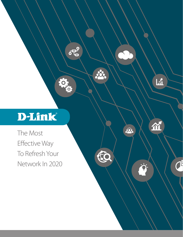# D-Link®

 $\delta \overline{\tau}^9$ 

ORIGIN

ÆC

 $\overline{\mathbf{h}}$ 

M

 $\overline{C}$ 

 $\ddot{Q}$ 

The Most Effective Way To Refresh Your Network In 2020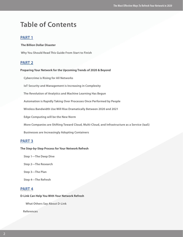## **Table of Contents**

#### **PART 1**

#### **The Billion Dollar Disaster**

 **Why You Should Read This Guide From Start to Finish**

#### **PART 2**

#### **Preparing Your Network for the Upcoming Trends of 2020 & Beyond**

 **Cybercrime is Rising for All Networks**

 **IoT Security and Management is Increasing in Complexity**

 **The Revolution of Analytics and Machine Learning Has Begun**

 **Automation is Rapidly Taking Over Processes Once Performed by People**

 **Wireless Bandwidth Use Will Rise Dramatically Between 2020 and 2021** 

 **Edge Computing will be the New Norm**

 **More Companies are Shifting Toward Cloud, Multi-Cloud, and Infrastructure as a Service (IaaS)**

 **Businesses are Increasingly Adopting Containers**

#### **PART 3**

#### **The Step-by-Step Process for Your Network Refresh**

 **Step 1—The Deep Dive**

 **Step 2—The Research**

 **Step 3—The Plan**

 **Step 4—The Refresh**

#### **PART 4**

#### **D-Link Can Help You With Your Network Refresh**

 **What Others Say About D-Link**

 **References**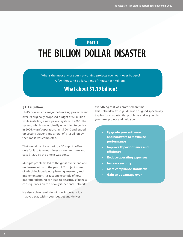## Part 1

# **THE BILLION DOLLAR DISASTER**

What's the most any of your networking projects ever went over budget? A few thousand dollars? Tens of thousands? Millions?

## **What about \$1.19 billion?**

#### **\$1.19 Billion...**

That's how much a major networking project went over its originally proposed budget of \$6 million while installing a new payroll system in 2006. The system, which was originally scheduled to go live in 2006, wasn't operational until 2010 and ended up costing Queensland a total of \$1.2 billion by the time it was completed.

That would be like ordering a \$6 cup of coffee, only for it to take four times as long to make and cost \$1,200 by the time it was done.

Multiple problems led to the gross overspend and under-execution of the payroll IT project, some of which included poor planning, research, and implementation. It's just one example of how improper planning can lead to disastrous financial consequences on top of a dysfunctional network.

It's also a clear reminder of how important it is that you stay within your budget and deliver

everything that was promised on time. This network refresh guide was designed specifically to plan for any potential problems and as you plan your next project and help you:

- **• Upgrade your software and hardware to maximize performance**
- **• Improve IT performance and efficiency**
- **• Reduce operating expenses**
- **• Increase security**
- **• Meet compliance standards**
- **• Gain an advantage over**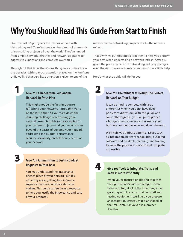## **Why You Should Read This Guide From Start to Finish**

Over the last 30-plus years, D-Link has worked with Networking and IT professionals on hundreds of thousands of networking projects all over the world. They've ranged from simple network refreshes and network upgrades to aggressive expansions and complete overhauls.

Throughout that time, there's one thing we've noticed over the decades. With so much attention placed on the forefront of IT, we find that very little attention is given to one of the

#### **Give You a Repeatable, Actionable Network Refresh Plan**

This might not be the first time you're refreshing your network. It probably won't be the last, either. As you stare down the daunting challenge of refreshing your network, use this guide to create a plan for your current project—and your next. It goes beyond the basics of building your network, addressing the budget, performance, security, scalability, and efficiency needs of your network.

3

1

#### **Give You Ammunition to Justify Budget Requests to Your Boss**

You may understand the importance of each piece of your network, but it's not always easy getting buy-in from a supervisor and/or corporate decision makers. This guide can serve as a resource to help you justify the importance and cost of your proposal.

most common networking projects of all—the network refresh.

That's why we put this ebook together. To help you perform your best when undertaking a network refresh. After all, given the pace at which the networking industry changes, even the most seasoned professional could use a little help.

Here's what the guide will do for you.

#### **Give You The Wisdom to Design The Perfect Network on Your Budget**

**I**t can be hard to compete with large enterprises when you don't have deep pockets to draw from. With this guide and some elbow grease, you can put together a budget-friendly network that keeps your business competitive now and down the road.

We'll help you address potential issues such as integration, network capabilities, outdated software and products, planning, and training to make the process as smooth and complete as possible.



2

#### **Give You Tools to Integrate, Train, and Refresh More Efficiently**

When you're focused on piecing together the right network within a budget, it can be easy to forget all of the little things that go along with it, such as training staff and testing equipment. We'll help you prepare an integration strategy that plans for all of the small details involved in a project like this.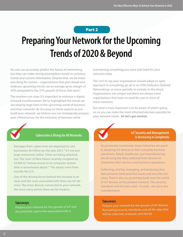#### Part 2

# **Preparing Your Network for the Upcoming Trends of 2020 & Beyond**

No one can accurately predict the future of networking, but they can make strong assumptions based on previous trends and current information. Despite that, we do know one thing for certain—organizations that plan ahead and embrace upcoming trends see an average gross margin of 55% compared to the 37% growth of those that don't.<sup>1</sup>

The numbers are clear. It's important to embrace a digital network transformation. We've highlighted the trends we see playing large roles in the upcoming world of business and their networks. By focusing on these aspects as you build your network, we believe you can strategically prepare your infrastructure for the evolution of business while

maintaining everything you want and need for your network today.

This isn't to say your organization should adopt an agile approach to everything, go all in on SDN (Software-Defined Networking), or move partially or entirely to the cloud. Organizations are unique and there are always some organizations that have no need for one or more of these solutions.

But what is truly important is to be aware of what's going on so you can make the most informed decision possible for your network needs. **So let's get started.**



#### **Cybercrime is Rising for All Networks**

Damages from cybercrime are expected to cost businesses \$6 trillion by the year  $2021$ .<sup>2</sup> It's not just large enterprises either. Cities are being attacked, too. The town of New Haven recently coughed up \$2,000 to "restore access to its computer system after a ransomware attack."<sup>3</sup> The attack came from outside the U.S.

One of the driving forces behind the increase in attacks and the costs associated with them are IoT devices. The more devices connected to your network, the more entry points there are for hackers.

#### **Takeaways**

Prepare your network for the growth of IoT and the potential cybercrime associated with it.



As previously mentioned, many industries are quickly adopting IoT devices in their everyday business operations. Retail, healthcare, and manufacturing are all using the data collected from devices to streamline their services and business operations.

Collecting, storing, managing, and analyzing that data presents both practical issues and security concerns. There's also no governing body over the world of IoT devices at the present moment. The security standards and formats used—if used—are up to the manufacturers.

#### **Takeaways**

Prepare your network for the growth of IoT devices, fluctuating security standards, and all the data that will be collected, analyzed, and stored.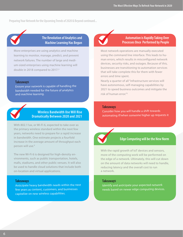**Preparing Your Network for the Upcoming Trends of 2020 & Beyond continued...**



#### **The Revolution of Analytics and Machine Learning Has Begun**

More enterprises are using analytics and machine learning to monitor, manage, predict, and prevent network failures. The number of large and medium-sized enterprises using machine learning will double in 2018 compared to 2017.4

#### **Takeaways**

Ensure your network is capable of handling the bandwidth needed for the future of analytics and machine learning.



#### **Wireless Bandwidth Use Will Rise Dramatically Between 2020 and 2021**

With 802.11ax, or Wi-Fi 6, expected to take over as the primary wireless standard within the next few years, networks need to prepare for a rapid increase in bandwidth. One estimate projects a fourfold increase in the average amount of throughput each person will use.<sup>6</sup>

The new Wi-Fi 6 is designed for high-density environments, such as public transportation, hotels, malls, stadiums, and other public venues. It will also be used to handle cloud solutions that include both on-location and virtual applications.

#### **Takeaways**

Anticipate heavy bandwidth needs within the next few years as content, customers, and businesses capitalize on new wireless capabilities.

#### **Automation is Rapidly Taking Over Processes Once Performed by People**

Most network operations are manually executed using the command line interface. This leads to human errors, which results in misconfigured network devices, security risks, and outages. Because of this, businesses are transitioning to automation services that will take complete this for them with fewer errors and time spent.

Nearly a quarter of all "infrastructure services will have autonomous, self-managing capabilities by 2021 to speed business outcomes and mitigate the risk of human error."5

#### **Takeaways**

Consider how you will handle a shift towards automating if/when someone higher up requests it



#### **Edge Computing will be the New Norm**

With the rapid growth of IoT devices and sensors, more of the computing work will be performed on the edge of a network. Ultimately, this will cut down on the amount of data networks will need to handle, reducing latency and the overall cost to run a network.

#### **Takeaways**

Identify and anticipate your expected network needs based on newer edge computing devices.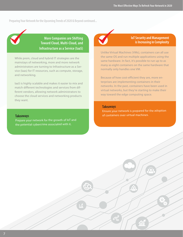**Preparing Your Network for the Upcoming Trends of 2020 & Beyond continued...**



**More Companies are Shifting Toward Cloud, Multi-Cloud, and Infrastructure as a Service (IaaS)**

While prem, cloud and hybrid IT strategies are the mainstays of networking, more and more network administrators are turning to Infrastructure as a Service (Iaas) for IT resources, such as compute, storage, and networking.

IaaS is highly scalable and makes it easier to mix and match different technologies and services from different vendors, allowing network administrators to choose the cloud services and networking products they want.

#### **IoT Security and Management is Increasing in Complexity**

Unlike Virtual Machines (VMs), containers can all use the same OS and run multiple applications using the same hardware. In fact, it's possible to run up to as many as eight containers on the same hardware that normally only handles one VM.

Because of how cost-efficient they are, more enterprises are implementing containers in their networks. In the past, containers have been used in virtual networks, but they're starting to make their way toward the edge computing space.

#### **Takeaways**

Ensure your network is prepared for the adoption of containers over virtual machines.

#### **Takeaways**

Prepare your network for the growth of IoT and the potential cybercrime associated with it.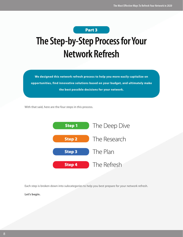

# **The Step-by-Step Process for Your Network Refresh**

**We designed this network refresh process to help you more easily capitalize on opportunities, find innovative solutions based on your budget, and ultimately make the best possible decisions for your network.**

With that said, here are the four steps in this process.



Each step is broken down into subcategories to help you best prepare for your network refresh.

**Let's begin.**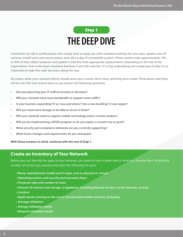

Sometimes we talk to professionals who simply want to swap out a few outdated switches for new ones, update some IP cameras, install some new access points, and call it a day. It's essentially a patch. Others need to take approximately 10% to 40% of their oldest hardware and update it with the most appropriate replacements. Depending on the size of the organization, that could mean anywhere between 5 and 500 switches. It's a big undertaking and a large part of why it's so important to make the right decisions along the way.

No matter what, your network refresh should serve your current, short-term, and long-term needs. Think about what they will be over the next several years as you answer the following questions.

- Are you expecting your IT staff to increase or decrease?
- Will your network need more bandwidth to support more traffic?
- Is your business expanding? If so, how and where? Into a new building? A new region?
- Will you need more storage or be able to access it faster?
- Will your network need to support mobile technology and/or remote workers?
- Will you be implementing a BYOD program or do you expect a current one to grow?
- What security and compliance demands are you currently supporting?
- What future changes and requirements do you anticipate?

**With those answers in mind, continue with the rest of Step 1.**

### **Create an Inventory of Your Network**

Before you can identify the gaps in your network, you need to have a good idea of what you already have. Record the number of servers you operate and note the following for each:

- **Name, manufacturer, model and its type, such as physical or virtual**
- **Operating system, and security and warranty status**
- **Processor type and number of cores**
- **Amount of memory and storage, in gigabytes, including physical servers, on the network, or local**
- **Location**
- **Applications running on the server (version and number of users), including:**
- **Average utilization**
- **Storage utilization trends**
- **Network utilization trends**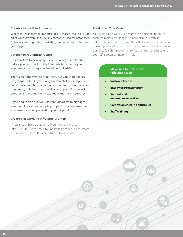#### **Create a List of Your Software**

Whether it was created in-house or purchased, make a list of all of your software. Include any software used for databases, CRMs, accounting, sales, marketing, and any other solutions you support.

#### **Categorize Your Infrastructure**

It's important to have a high-level view of your network before you can dive into the finer details. Organize your equipment into categories based on similarities.

There's no right way to group them, but you should focus on groups that help you plan your refresh. For example, you could place switches that are older than four-to-five years in one group, switches that specifically support IP cameras in another, and products with expired warranties in another.

If you find there's overlap, use Venn diagrams to highlight equipment placed in multiple groups. You can also use this as a resource when presenting your proposal.

#### **Create a Networking Infrastructure Map**

If you already have a diagram of your network and its infrastructure, use this step to update it if needed. It not, create a new one to use for this and future network refreshes.

#### **Breakdown Your Costs**

Your existing network will become less efficient and more costly to maintain as it ages. To help plan your refresh, determine how much it currently costs to maintain it. You can guess if you need to, but try to use a number that's as close as possible. Search through the trends over the last year to give yourself a better estimate if it helps.

#### **Make sure to include the following costs:**

- **• Software licenses**
- **• Energy use/consumption**
- **• Support and maintenance services**
- **• Colocation costs (if applicable)**
- **• Staff training**

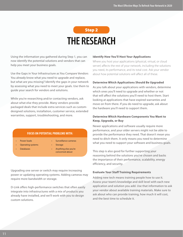## **THE RESEARCH** Step 2

Using the information you gathered during Step 1, you can now identify the potential solutions and vendors that can help you meet your business goals.

Use the Gaps in Your Infrastructure as You Compare Vendors You already know what you need to upgrade and replace, but what are you missing? Identify the gaps in your network by assessing what you need to meet your goals. Use them to guide your search for vendors and solutions.

While you're researching and/or contacting vendors, ask about what else they provide. Many vendors provide packaged deals that include extra services such as customdesigned solutions, installation, customer service, extended warranties, support, troubleshooting, and more.

#### **FOCUS ON POTENTIAL PROBLEMS WITH:**

- Power loads
- Surveillance cameras
- Operating systems
- **Storage**
- Databases
- Anything else you're concerned about

Upgrading one server or switch may require increasing power or updating operating systems. Adding cameras may require more bandwidth or storage.

D-Link offers high-performance switches that often easily integrate into infrastructures with a mix of products you already have installed, and we'll work with you to design custom solutions.

#### **Identify How You'll Host Your Applications**

Where you host your applications (physical, virtual, or cloud server) affects the rest of your network, including the solutions you need, its performance, and its total cost. Ask your vendor about how potential solutions will affect all of these.

#### **Determine Which Applications Should Be Upgraded**

As you talk about your applications with vendors, determine which ones you'll need to upgrade and whether or not that will affect the solutions you'll need to host them. Start looking at applications that have expired warranties and move on from there. If you do need to upgrade, ask about the hardware you'll need to support them.

#### **Determine Which Hardware Components You Want to Keep, Upgrade, or Buy**

Newer applications and software usually require more performance, and your older servers might not be able to provide the performance they need. That doesn't mean you need to ditch them. It only means you need to determine what you need to support your software and business goals.

This step is also good for further supporting your reasoning behind the solutions you've chosen and backs the importance of their performance, scalability, energy efficiency, and security.

#### **Evaluate Your Staff Training Requirements**

Adding new tech means training people how to use it. Assess your team's knowledge and skill level with each new application and solution you add. Use that information to ask your vendor about available training materials. Make sure to ask about who can provide training, how much it will cost, and the best time to schedule it.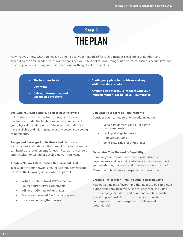## **THE PLAN** Step 3

Now that you know what you need, it's time to plan your network refresh. This includes checking your numbers and scheduling the time needed. You'll want to consider your site, applications, storage, infrastructure, business needs, staff, and other requirements throughout this process. A few things to plan for include:

- **• The best time to start**
- **• Downtime**
- **• Delays, interruptions, and unexpected problems**
- **• Contingency plans for problems and any additional time required**
- **• Anything else that could interfere with your implementation (e.g. holidays, PTO, weather)**

#### **Evaluate Your Site's Ability To Host New Hardware**

Before you remove old hardware or upgrade to new hardware, consider the limitations and requirements of your physical site. Make note of the electrical outlets you have available and might need, plus any power and cooling requirements.

#### **Assign and Reassign Applications and Hardware**

Pair your new and older applications with the hardware that can handle the requirements for each. Reassign old servers and switches for testing or development, if you want.

#### **Create a Network Architecture Requirements List**

Take a look at your network architecture requirements and jot down the following details, when applicable:

- Virtual Private Network (VPN) creation
- Router and/or server assignments
- 1GB and 10GB network upgrades
- Existing and needed Cat 6 cable upgrades
- Locations and lengths of wires

#### **Calculate Your Storage Requirements**

Consider your storage solution needs, including:

- Server assignments and all separate hardware needed
- Backup storage hardware
- Data growth rates
- Solid State Drive (SSD) upgrades

#### **Determine Your Network's Capability**

Compare your proposed network to your business requirements and determine whether or not it can support your needs now, next year, and three years down the road. Make sure to factor in your expected business growth.

#### **Create a Project Plan Timeline with Projected Costs**

Map out a timeline of everything that needs to be completed during your network refresh. Plan for each step, including the order, projected dates and durations, and how much everything will cost. As with the other steps, create contingency plans for unexpected problems and potential risks.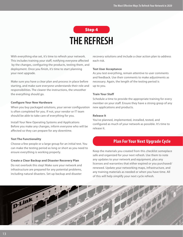## **THE REFRESH** Step 4

With everything else set, it's time to refresh your network. This includes training your staff, notifying everyone affected by the changes, configuring the products, testing them, and deployment. Once you finish, it's time to start planning your next upgrade.

Make sure you have a clear plan and process in place before starting, and make sure everyone understands their role and responsibilities. The clearer the instructions, the smoother the everything should go.

#### **Configure Your New Hardware**

When you buy packaged solutions, your server configuration is often completed for you. If not, your vendor or IT team should be able to take care of everything for you.

Install Your New Operating Systems and Applications Before you make any changes, inform everyone who will be affected so they can prepare for any downtime.

#### **Test The Functionality**

Choose a few people or a large group for an initial test. You can make the testing period as long or short as you need to ensure everything is working properly.

#### **Create a Clear Backup and Disaster Recovery Plan**

Do not overlook this step! Make sure your network and infrastructure are prepared for any potential problems, including natural disasters. Set up backup and disaster

recovery solutions and include a clear action plan to address each risk.

#### **Test User Acceptance**

As you test everything, remain attentive to user comments and feedback. Use their comments to make adjustments as necessary. Again, the length of the testing period is up to you.

#### **Train Your Staff**

Schedule a time to provide the appropriate training for every member on your staff. Ensure they have a strong grasp of any new applications and products.

#### **Release It**

You've planned, implemented, installed, tested, and configured as much of your network as possible. It's time to release it.

#### **Plan For Your Next Upgrade Cycle**

Keep the materials you created from this checklist someplace safe and organized for your next refresh. Use them to note any updates to your network and equipment, plus any licenses and warranties that either expired or you purchased/ renewed. Update your networking maps, infrastructure, and any training materials as needed or when you have time. All of this will help simplify your next cycle refresh.

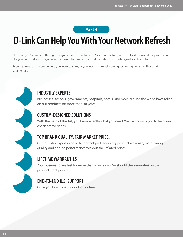### Part 4

# **D-Link Can Help You With Your Network Refresh**

Now that you've made it through the guide, we're here to help. As we said before, we've helped thousands of professionals like you build, refresh, upgrade, and expand their networks. That includes custom-designed solutions, too.

Even if you're still not sure where you want to start, or you just want to ask some questions, give us a call or send us an email.

### **INDUSTRY EXPERTS**

Businesses, schools, governments, hospitals, hotels, and more around the world have relied on our products for more than 30 years.

## **CUSTOM-DESIGNED SOLUTIONS**

With the help of this list, you know exactly what you need. We'll work with you to help you check off every box.

### **TOP BRAND QUALITY. FAIR MARKET PRICE.**

Our industry experts know the perfect parts for every product we make, maintaining quality and adding performance without the inflated prices.

## **LIFETIME WARRANTIES**

Your business plans last for more than a few years. So should the warranties on the products that power it.

## **END-TO-END U.S. SUPPORT**

Once you buy it, we support it. For free.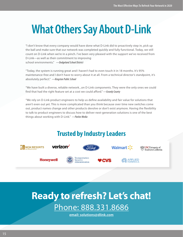# **What Others Say About D-Link**

"I don't know that every company would have done what D-Link did to proactively step in, pick up the ball and make sure that our network was completed quickly and fully functional. Today, we still count on D-Link when we're in a pinch. I've been very pleased with the support we've received from D-Link—as well as their commitment to improving school environments." *—Dodgeland School District*

"Today, the system is running great and I haven't had to even touch it in 18 months. It's 95% maintenance-free and I don't have to worry about it at all. From a technical director's standpoint, it's absolutely perfect." *—Kingston Public School*

"We have built a diverse, reliable network...on D-Link components. They were the only ones we could find that had the right feature set at a cost we could afford." *—Grundy County*

"We rely on D-Link product engineers to help us define availability and fair value for solutions that aren't even out yet. This is more complicated than you think because over time new switches come out, product names change and other products devolve or don't exist anymore. Having the flexibility to talk to product engineers to discuss how to deliver next-generation solutions is one of the best things about working with D-Link." *—Pavlov Media*

## **Trusted by Industry Leaders**



## **Ready to refresh? Let's chat!**  Phone: 888.331.8686

**email: solutions@dlink.com**